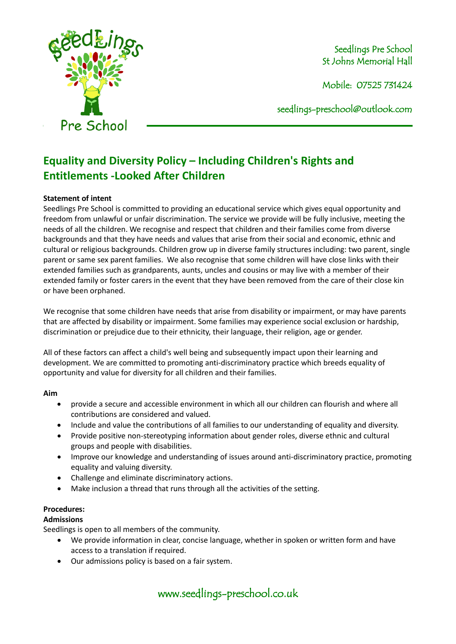

Mobile: 07525 731424

seedlings[-preschool@outlook.com](mailto:preschool@outlook.com)

# **Equality and Diversity Policy – Including Children's Rights and Entitlements -Looked After Children**

#### **Statement of intent**

Seedlings Pre School is committed to providing an educational service which gives equal opportunity and freedom from unlawful or unfair discrimination. The service we provide will be fully inclusive, meeting the needs of all the children. We recognise and respect that children and their families come from diverse backgrounds and that they have needs and values that arise from their social and economic, ethnic and cultural or religious backgrounds. Children grow up in diverse family structures including: two parent, single parent or same sex parent families. We also recognise that some children will have close links with their extended families such as grandparents, aunts, uncles and cousins or may live with a member of their extended family or foster carers in the event that they have been removed from the care of their close kin or have been orphaned.

We recognise that some children have needs that arise from disability or impairment, or may have parents that are affected by disability or impairment. Some families may experience social exclusion or hardship, discrimination or prejudice due to their ethnicity, their language, their religion, age or gender.

All of these factors can affect a child's well being and subsequently impact upon their learning and development. We are committed to promoting anti-discriminatory practice which breeds equality of opportunity and value for diversity for all children and their families.

#### **Aim**

- provide a secure and accessible environment in which all our children can flourish and where all contributions are considered and valued.
- Include and value the contributions of all families to our understanding of equality and diversity.
- Provide positive non-stereotyping information about gender roles, diverse ethnic and cultural groups and people with disabilities.
- Improve our knowledge and understanding of issues around anti-discriminatory practice, promoting equality and valuing diversity.
- Challenge and eliminate discriminatory actions.
- Make inclusion a thread that runs through all the activities of the setting.

# **Procedures:**

#### **Admissions**

Seedlings is open to all members of the community.

- We provide information in clear, concise language, whether in spoken or written form and have access to a translation if required.
- Our admissions policy is based on a fair system.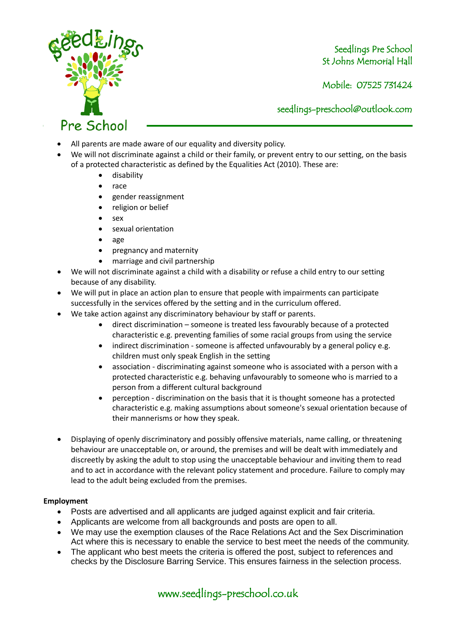

Mobile: 07525 731424

seedlings[-preschool@outlook.com](mailto:preschool@outlook.com)

- All parents are made aware of our equality and diversity policy.
- We will not discriminate against a child or their family, or prevent entry to our setting, on the basis of a protected characteristic as defined by the Equalities Act (2010). These are:
	- disability
	- race
	- gender reassignment
	- religion or belief
	- sex
	- sexual orientation
	- age
	- pregnancy and maternity
	- marriage and civil partnership
- We will not discriminate against a child with a disability or refuse a child entry to our setting because of any disability.
- We will put in place an action plan to ensure that people with impairments can participate successfully in the services offered by the setting and in the curriculum offered.
- We take action against any discriminatory behaviour by staff or parents.
	- direct discrimination someone is treated less favourably because of a protected characteristic e.g. preventing families of some racial groups from using the service
	- indirect discrimination someone is affected unfavourably by a general policy e.g. children must only speak English in the setting
	- association discriminating against someone who is associated with a person with a protected characteristic e.g. behaving unfavourably to someone who is married to a person from a different cultural background
	- perception discrimination on the basis that it is thought someone has a protected characteristic e.g. making assumptions about someone's sexual orientation because of their mannerisms or how they speak.
- Displaying of openly discriminatory and possibly offensive materials, name calling, or threatening behaviour are unacceptable on, or around, the premises and will be dealt with immediately and discreetly by asking the adult to stop using the unacceptable behaviour and inviting them to read and to act in accordance with the relevant policy statement and procedure. Failure to comply may lead to the adult being excluded from the premises.

#### **Employment**

- Posts are advertised and all applicants are judged against explicit and fair criteria.
- Applicants are welcome from all backgrounds and posts are open to all.
- We may use the exemption clauses of the Race Relations Act and the Sex Discrimination Act where this is necessary to enable the service to best meet the needs of the community.
- The applicant who best meets the criteria is offered the post, subject to references and checks by the Disclosure Barring Service. This ensures fairness in the selection process.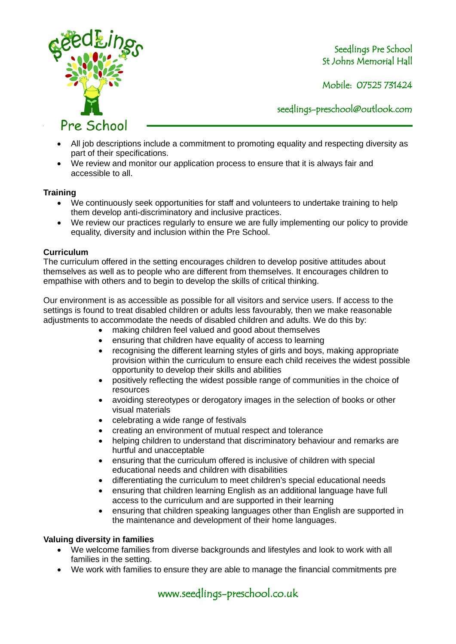

Mobile: 07525 731424

seedlings[-preschool@outlook.com](mailto:preschool@outlook.com)

- All job descriptions include a commitment to promoting equality and respecting diversity as part of their specifications.
- We review and monitor our application process to ensure that it is always fair and accessible to all.

### **Training**

- We continuously seek opportunities for staff and volunteers to undertake training to help them develop anti-discriminatory and inclusive practices.
- We review our practices regularly to ensure we are fully implementing our policy to provide equality, diversity and inclusion within the Pre School.

#### **Curriculum**

The curriculum offered in the setting encourages children to develop positive attitudes about themselves as well as to people who are different from themselves. It encourages children to empathise with others and to begin to develop the skills of critical thinking.

Our environment is as accessible as possible for all visitors and service users. If access to the settings is found to treat disabled children or adults less favourably, then we make reasonable adjustments to accommodate the needs of disabled children and adults. We do this by:

- making children feel valued and good about themselves
- ensuring that children have equality of access to learning
- recognising the different learning styles of girls and boys, making appropriate provision within the curriculum to ensure each child receives the widest possible opportunity to develop their skills and abilities
- positively reflecting the widest possible range of communities in the choice of resources
- avoiding stereotypes or derogatory images in the selection of books or other visual materials
- celebrating a wide range of festivals
- creating an environment of mutual respect and tolerance
- helping children to understand that discriminatory behaviour and remarks are hurtful and unacceptable
- ensuring that the curriculum offered is inclusive of children with special educational needs and children with disabilities
- differentiating the curriculum to meet children's special educational needs
- ensuring that children learning English as an additional language have full access to the curriculum and are supported in their learning
- ensuring that children speaking languages other than English are supported in the maintenance and development of their home languages.

#### **Valuing diversity in families**

- We welcome families from diverse backgrounds and lifestyles and look to work with all families in the setting.
- We work with families to ensure they are able to manage the financial commitments pre

www.seedlings-preschool.co.uk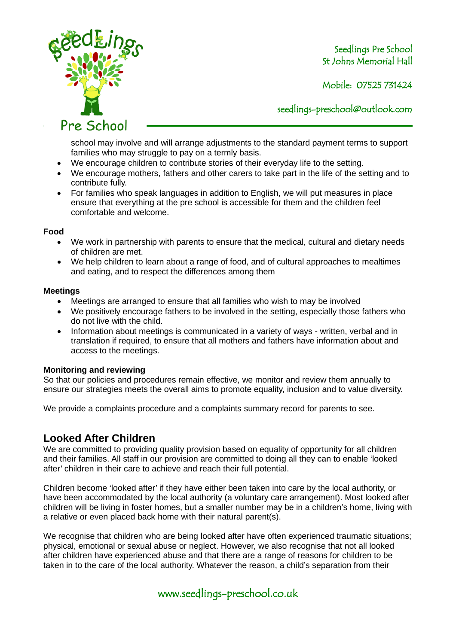

Mobile: 07525 731424

seedlings[-preschool@outlook.com](mailto:preschool@outlook.com)

school may involve and will arrange adjustments to the standard payment terms to support families who may struggle to pay on a termly basis.

- We encourage children to contribute stories of their everyday life to the setting.
- We encourage mothers, fathers and other carers to take part in the life of the setting and to contribute fully.
- For families who speak languages in addition to English, we will put measures in place ensure that everything at the pre school is accessible for them and the children feel comfortable and welcome.

#### **Food**

- We work in partnership with parents to ensure that the medical, cultural and dietary needs of children are met.
- We help children to learn about a range of food, and of cultural approaches to mealtimes and eating, and to respect the differences among them

#### **Meetings**

- Meetings are arranged to ensure that all families who wish to may be involved
- We positively encourage fathers to be involved in the setting, especially those fathers who do not live with the child.
- Information about meetings is communicated in a variety of ways written, verbal and in translation if required, to ensure that all mothers and fathers have information about and access to the meetings.

#### **Monitoring and reviewing**

So that our policies and procedures remain effective, we monitor and review them annually to ensure our strategies meets the overall aims to promote equality, inclusion and to value diversity.

We provide a complaints procedure and a complaints summary record for parents to see.

# **Looked After Children**

We are committed to providing quality provision based on equality of opportunity for all children and their families. All staff in our provision are committed to doing all they can to enable 'looked after' children in their care to achieve and reach their full potential.

Children become 'looked after' if they have either been taken into care by the local authority, or have been accommodated by the local authority (a voluntary care arrangement). Most looked after children will be living in foster homes, but a smaller number may be in a children's home, living with a relative or even placed back home with their natural parent(s).

We recognise that children who are being looked after have often experienced traumatic situations; physical, emotional or sexual abuse or neglect. However, we also recognise that not all looked after children have experienced abuse and that there are a range of reasons for children to be taken in to the care of the local authority. Whatever the reason, a child's separation from their

# www.seedlings-preschool.co.uk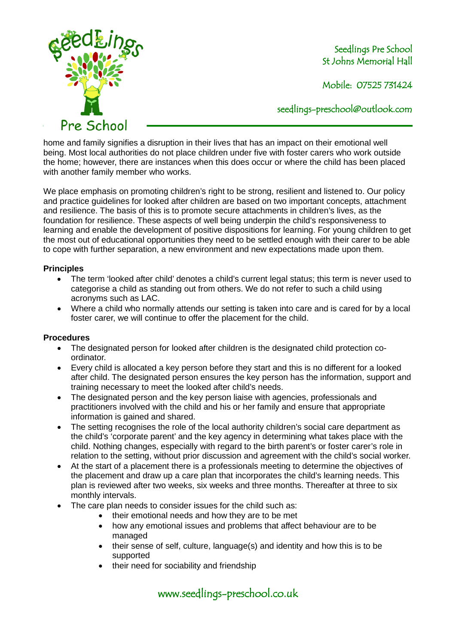

Mobile: 07525 731424

seedlings[-preschool@outlook.com](mailto:preschool@outlook.com)

home and family signifies a disruption in their lives that has an impact on their emotional well being. Most local authorities do not place children under five with foster carers who work outside the home; however, there are instances when this does occur or where the child has been placed with another family member who works.

We place emphasis on promoting children's right to be strong, resilient and listened to. Our policy and practice guidelines for looked after children are based on two important concepts, attachment and resilience. The basis of this is to promote secure attachments in children's lives, as the foundation for resilience. These aspects of well being underpin the child's responsiveness to learning and enable the development of positive dispositions for learning. For young children to get the most out of educational opportunities they need to be settled enough with their carer to be able to cope with further separation, a new environment and new expectations made upon them.

#### **Principles**

- The term 'looked after child' denotes a child's current legal status; this term is never used to categorise a child as standing out from others. We do not refer to such a child using acronyms such as LAC.
- Where a child who normally attends our setting is taken into care and is cared for by a local foster carer, we will continue to offer the placement for the child.

#### **Procedures**

- The designated person for looked after children is the designated child protection coordinator.
- Every child is allocated a key person before they start and this is no different for a looked after child. The designated person ensures the key person has the information, support and training necessary to meet the looked after child's needs.
- The designated person and the key person liaise with agencies, professionals and practitioners involved with the child and his or her family and ensure that appropriate information is gained and shared.
- The setting recognises the role of the local authority children's social care department as the child's 'corporate parent' and the key agency in determining what takes place with the child. Nothing changes, especially with regard to the birth parent's or foster carer's role in relation to the setting, without prior discussion and agreement with the child's social worker.
- At the start of a placement there is a professionals meeting to determine the objectives of the placement and draw up a care plan that incorporates the child's learning needs. This plan is reviewed after two weeks, six weeks and three months. Thereafter at three to six monthly intervals.
- The care plan needs to consider issues for the child such as:
	- their emotional needs and how they are to be met
	- how any emotional issues and problems that affect behaviour are to be managed
	- their sense of self, culture, language(s) and identity and how this is to be supported
	- their need for sociability and friendship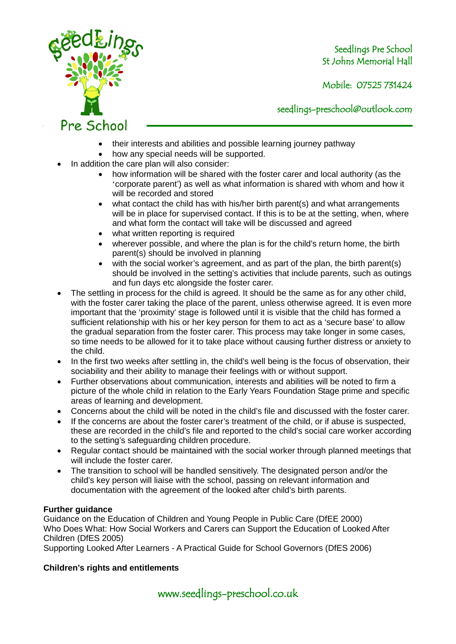

Mobile: 07525 731424

seedlings[-preschool@outlook.com](mailto:preschool@outlook.com)

- their interests and abilities and possible learning journey pathway
- how any special needs will be supported.
- In addition the care plan will also consider:
	- how information will be shared with the foster carer and local authority (as the 'corporate parent') as well as what information is shared with whom and how it will be recorded and stored
	- what contact the child has with his/her birth parent(s) and what arrangements will be in place for supervised contact. If this is to be at the setting, when, where and what form the contact will take will be discussed and agreed
	- what written reporting is required
	- wherever possible, and where the plan is for the child's return home, the birth parent(s) should be involved in planning
	- with the social worker's agreement, and as part of the plan, the birth parent(s) should be involved in the setting's activities that include parents, such as outings and fun days etc alongside the foster carer.
- The settling in process for the child is agreed. It should be the same as for any other child, with the foster carer taking the place of the parent, unless otherwise agreed. It is even more important that the 'proximity' stage is followed until it is visible that the child has formed a sufficient relationship with his or her key person for them to act as a 'secure base' to allow the gradual separation from the foster carer. This process may take longer in some cases, so time needs to be allowed for it to take place without causing further distress or anxiety to the child.
- In the first two weeks after settling in, the child's well being is the focus of observation, their sociability and their ability to manage their feelings with or without support.
- Further observations about communication, interests and abilities will be noted to firm a picture of the whole child in relation to the Early Years Foundation Stage prime and specific areas of learning and development.
- Concerns about the child will be noted in the child's file and discussed with the foster carer.
- If the concerns are about the foster carer's treatment of the child, or if abuse is suspected, these are recorded in the child's file and reported to the child's social care worker according to the setting's safeguarding children procedure.
- Regular contact should be maintained with the social worker through planned meetings that will include the foster carer.
- The transition to school will be handled sensitively. The designated person and/or the child's key person will liaise with the school, passing on relevant information and documentation with the agreement of the looked after child's birth parents.

#### **Further guidance**

Guidance on the Education of Children and Young People in Public Care (DfEE 2000) Who Does What: How Social Workers and Carers can Support the Education of Looked After Children (DfES 2005)

Supporting Looked After Learners - A Practical Guide for School Governors (DfES 2006)

# **Children's rights and entitlements**

www.seedlings-preschool.co.uk

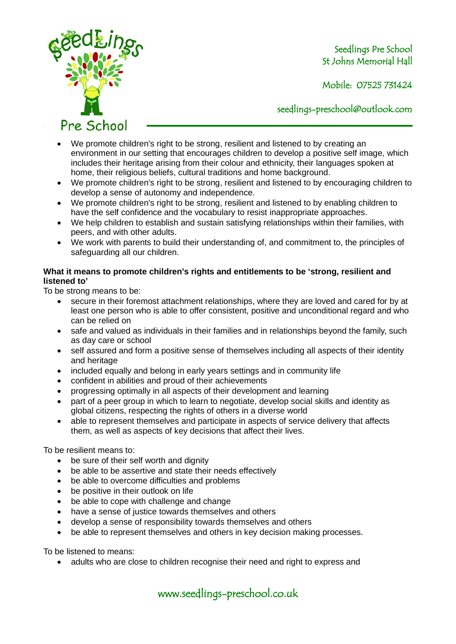

Mobile: 07525 731424

seedlings[-preschool@outlook.com](mailto:preschool@outlook.com)

Pre School

- We promote children's right to be strong, resilient and listened to by creating an environment in our setting that encourages children to develop a positive self image, which includes their heritage arising from their colour and ethnicity, their languages spoken at home, their religious beliefs, cultural traditions and home background.
- We promote children's right to be strong, resilient and listened to by encouraging children to develop a sense of autonomy and independence.
- We promote children's right to be strong, resilient and listened to by enabling children to have the self confidence and the vocabulary to resist inappropriate approaches.
- We help children to establish and sustain satisfying relationships within their families, with peers, and with other adults.
- We work with parents to build their understanding of, and commitment to, the principles of safeguarding all our children.

### **What it means to promote children's rights and entitlements to be 'strong, resilient and listened to'**

To be strong means to be:

- secure in their foremost attachment relationships, where they are loved and cared for by at least one person who is able to offer consistent, positive and unconditional regard and who can be relied on
- safe and valued as individuals in their families and in relationships beyond the family, such as day care or school
- self assured and form a positive sense of themselves including all aspects of their identity and heritage
- included equally and belong in early years settings and in community life
- confident in abilities and proud of their achievements
- progressing optimally in all aspects of their development and learning
- part of a peer group in which to learn to negotiate, develop social skills and identity as global citizens, respecting the rights of others in a diverse world
- able to represent themselves and participate in aspects of service delivery that affects them, as well as aspects of key decisions that affect their lives.

To be resilient means to:

- be sure of their self worth and dignity
- be able to be assertive and state their needs effectively
- be able to overcome difficulties and problems
- be positive in their outlook on life
- be able to cope with challenge and change
- have a sense of justice towards themselves and others
- develop a sense of responsibility towards themselves and others
- be able to represent themselves and others in key decision making processes.

To be listened to means:

• adults who are close to children recognise their need and right to express and